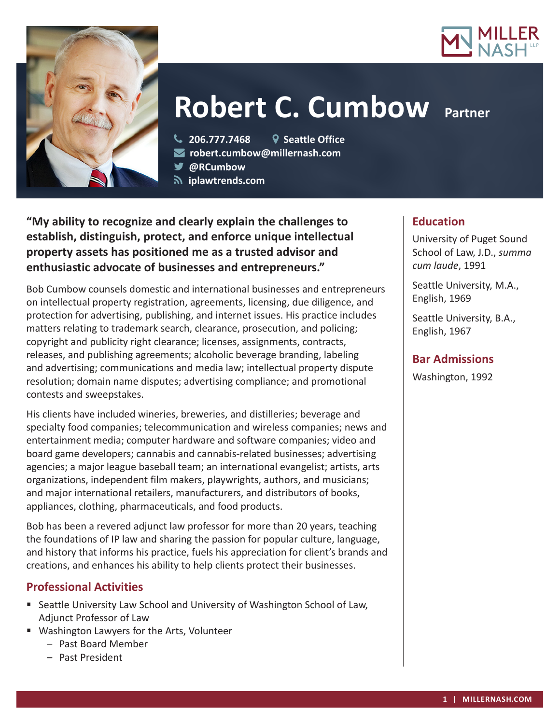



# **Robert C. Cumbow Partner**

**206.777.7468 Seattle Office**

**robert.cumbow@millernash.com** 

**@RCumbow**

 **iplawtrends.com** 

**"My ability to recognize and clearly explain the challenges to establish, distinguish, protect, and enforce unique intellectual property assets has positioned me as a trusted advisor and enthusiastic advocate of businesses and entrepreneurs."**

Bob Cumbow counsels domestic and international businesses and entrepreneurs on intellectual property registration, agreements, licensing, due diligence, and protection for advertising, publishing, and internet issues. His practice includes matters relating to trademark search, clearance, prosecution, and policing; copyright and publicity right clearance; licenses, assignments, contracts, releases, and publishing agreements; alcoholic beverage branding, labeling and advertising; communications and media law; intellectual property dispute resolution; domain name disputes; advertising compliance; and promotional contests and sweepstakes.

His clients have included wineries, breweries, and distilleries; beverage and specialty food companies; telecommunication and wireless companies; news and entertainment media; computer hardware and software companies; video and board game developers; cannabis and cannabis-related businesses; advertising agencies; a major league baseball team; an international evangelist; artists, arts organizations, independent film makers, playwrights, authors, and musicians; and major international retailers, manufacturers, and distributors of books, appliances, clothing, pharmaceuticals, and food products.

Bob has been a revered adjunct law professor for more than 20 years, teaching the foundations of IP law and sharing the passion for popular culture, language, and history that informs his practice, fuels his appreciation for client's brands and creations, and enhances his ability to help clients protect their businesses.

# **Professional Activities**

- Seattle University Law School and University of Washington School of Law, Adjunct Professor of Law
- Washington Lawyers for the Arts, Volunteer
	- Past Board Member
	- Past President

# **Education**

University of Puget Sound School of Law, J.D., *summa cum laude*, 1991

Seattle University, M.A., English, 1969

Seattle University, B.A., English, 1967

### **Bar Admissions**

Washington, 1992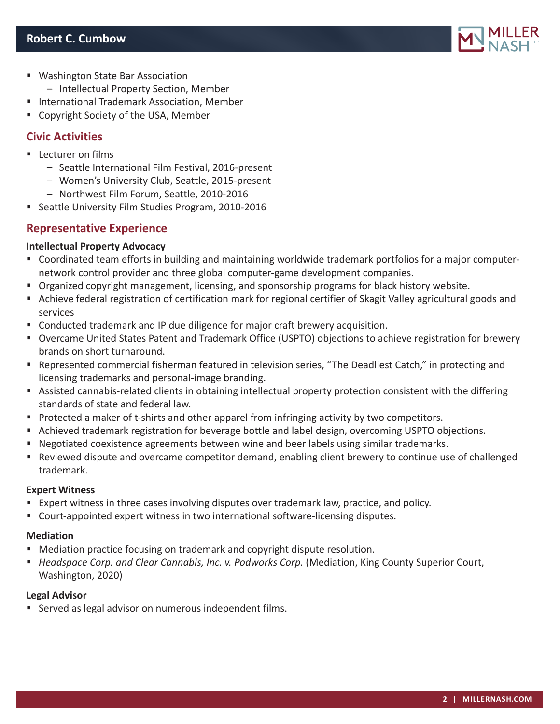

- Washington State Bar Association
	- Intellectual Property Section, Member
- International Trademark Association, Member
- **EX Copyright Society of the USA, Member**

# **Civic Activities**

- **Lecturer on films** 
	- Seattle International Film Festival, 2016-present
	- Women's University Club, Seattle, 2015-present
	- Northwest Film Forum, Seattle, 2010-2016
- Seattle University Film Studies Program, 2010-2016

# **Representative Experience**

#### **Intellectual Property Advocacy**

- Coordinated team efforts in building and maintaining worldwide trademark portfolios for a major computernetwork control provider and three global computer-game development companies.
- **Organized copyright management, licensing, and sponsorship programs for black history website.**
- Achieve federal registration of certification mark for regional certifier of Skagit Valley agricultural goods and services
- Conducted trademark and IP due diligence for major craft brewery acquisition.
- Overcame United States Patent and Trademark Office (USPTO) objections to achieve registration for brewery brands on short turnaround.
- Represented commercial fisherman featured in television series, "The Deadliest Catch," in protecting and licensing trademarks and personal-image branding.
- Assisted cannabis-related clients in obtaining intellectual property protection consistent with the differing standards of state and federal law.
- **Protected a maker of t-shirts and other apparel from infringing activity by two competitors.**
- Achieved trademark registration for beverage bottle and label design, overcoming USPTO objections.
- Negotiated coexistence agreements between wine and beer labels using similar trademarks.
- Reviewed dispute and overcame competitor demand, enabling client brewery to continue use of challenged trademark.

#### **Expert Witness**

- Expert witness in three cases involving disputes over trademark law, practice, and policy.
- Court-appointed expert witness in two international software-licensing disputes.

#### **Mediation**

- **Mediation practice focusing on trademark and copyright dispute resolution.**
- *Headspace Corp. and Clear Cannabis, Inc. v. Podworks Corp.* (Mediation, King County Superior Court, Washington, 2020)

#### **Legal Advisor**

■ Served as legal advisor on numerous independent films.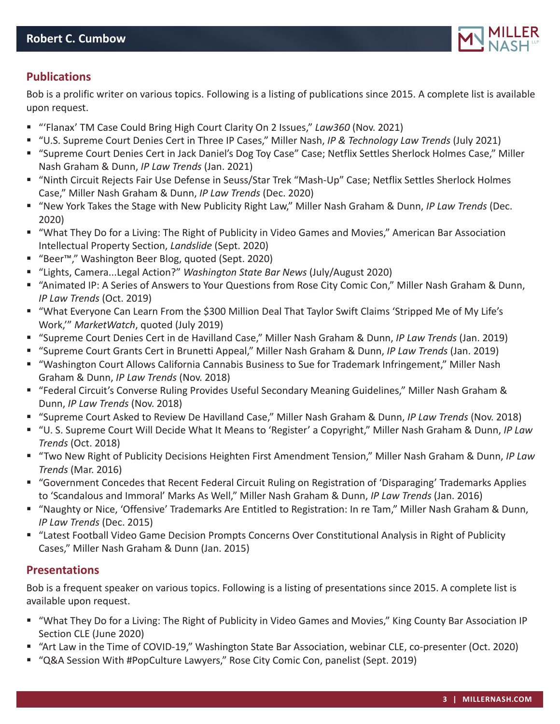

## **Publications**

Bob is a prolific writer on various topics. Following is a listing of publications since 2015. A complete list is available upon request.

- "'Flanax' TM Case Could Bring High Court Clarity On 2 Issues," *Law360* (Nov. 2021)
- "U.S. Supreme Court Denies Cert in Three IP Cases," Miller Nash, *IP & Technology Law Trends* (July 2021)
- "Supreme Court Denies Cert in Jack Daniel's Dog Toy Case" Case; Netflix Settles Sherlock Holmes Case," Miller Nash Graham & Dunn, *IP Law Trends* (Jan. 2021)
- "Ninth Circuit Rejects Fair Use Defense in Seuss/Star Trek "Mash-Up" Case; Netflix Settles Sherlock Holmes Case," Miller Nash Graham & Dunn, *IP Law Trends* (Dec. 2020)
- "New York Takes the Stage with New Publicity Right Law," Miller Nash Graham & Dunn, *IP Law Trends* (Dec. 2020)
- "What They Do for a Living: The Right of Publicity in Video Games and Movies," American Bar Association Intellectual Property Section, *Landslide* (Sept. 2020)
- "Beer™," Washington Beer Blog, quoted (Sept. 2020)
- "Lights, Camera...Legal Action?" *Washington State Bar News* (July/August 2020)
- "Animated IP: A Series of Answers to Your Questions from Rose City Comic Con," Miller Nash Graham & Dunn, *IP Law Trends* (Oct. 2019)
- "What Everyone Can Learn From the \$300 Million Deal That Taylor Swift Claims 'Stripped Me of My Life's Work,'" *MarketWatch*, quoted (July 2019)
- "Supreme Court Denies Cert in de Havilland Case," Miller Nash Graham & Dunn, *IP Law Trends* (Jan. 2019)
- "Supreme Court Grants Cert in Brunetti Appeal," Miller Nash Graham & Dunn, *IP Law Trends* (Jan. 2019)
- "Washington Court Allows California Cannabis Business to Sue for Trademark Infringement," Miller Nash Graham & Dunn, *IP Law Trends* (Nov. 2018)
- "Federal Circuit's Converse Ruling Provides Useful Secondary Meaning Guidelines," Miller Nash Graham & Dunn, *IP Law Trends* (Nov. 2018)
- "Supreme Court Asked to Review De Havilland Case," Miller Nash Graham & Dunn, *IP Law Trends* (Nov. 2018)
- "U. S. Supreme Court Will Decide What It Means to 'Register' a Copyright," Miller Nash Graham & Dunn, *IP Law Trends* (Oct. 2018)
- "Two New Right of Publicity Decisions Heighten First Amendment Tension," Miller Nash Graham & Dunn, *IP Law Trends* (Mar. 2016)
- "Government Concedes that Recent Federal Circuit Ruling on Registration of 'Disparaging' Trademarks Applies to 'Scandalous and Immoral' Marks As Well," Miller Nash Graham & Dunn, *IP Law Trends* (Jan. 2016)
- "Naughty or Nice, 'Offensive' Trademarks Are Entitled to Registration: In re Tam," Miller Nash Graham & Dunn, *IP Law Trends* (Dec. 2015)
- "Latest Football Video Game Decision Prompts Concerns Over Constitutional Analysis in Right of Publicity Cases," Miller Nash Graham & Dunn (Jan. 2015)

#### **Presentations**

Bob is a frequent speaker on various topics. Following is a listing of presentations since 2015. A complete list is available upon request.

- "What They Do for a Living: The Right of Publicity in Video Games and Movies," King County Bar Association IP Section CLE (June 2020)
- "Art Law in the Time of COVID-19," Washington State Bar Association, webinar CLE, co-presenter (Oct. 2020)
- "Q&A Session With #PopCulture Lawyers," Rose City Comic Con, panelist (Sept. 2019)